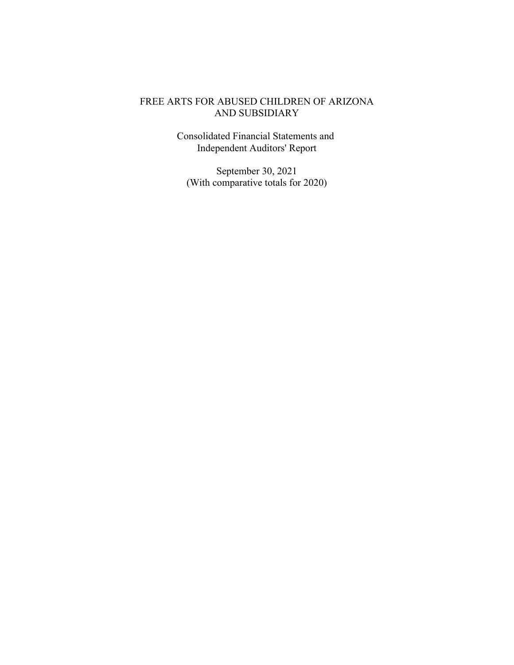Consolidated Financial Statements and Independent Auditors' Report

September 30, 2021 (With comparative totals for 2020)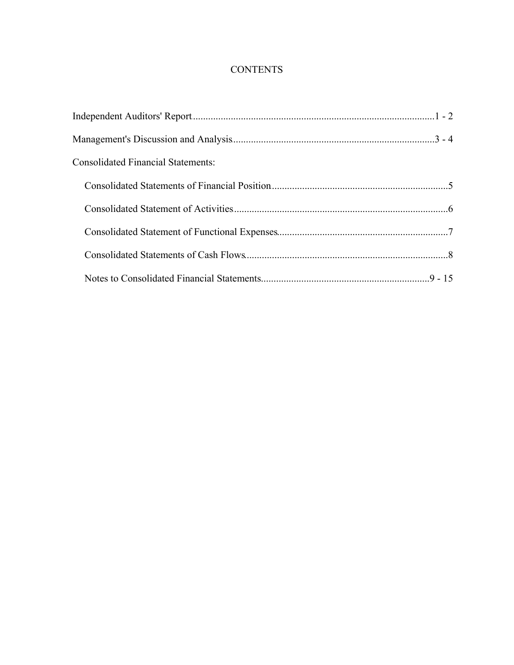## **CONTENTS**

| <b>Consolidated Financial Statements:</b> |  |
|-------------------------------------------|--|
|                                           |  |
|                                           |  |
|                                           |  |
|                                           |  |
|                                           |  |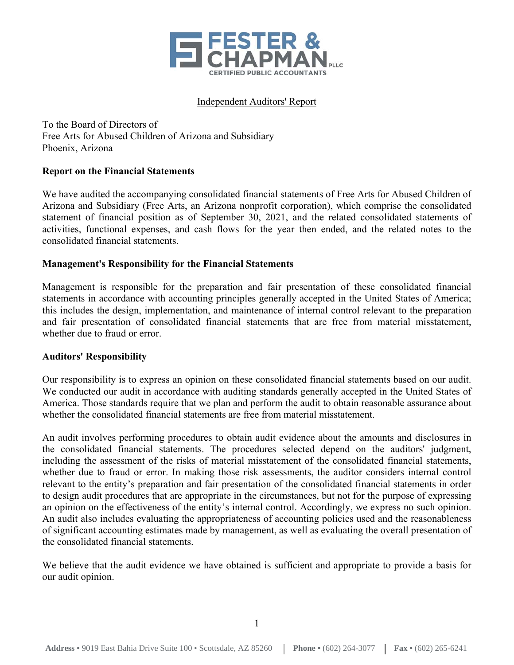

### Independent Auditors' Report

To the Board of Directors of Free Arts for Abused Children of Arizona and Subsidiary Phoenix, Arizona

### **Report on the Financial Statements**

We have audited the accompanying consolidated financial statements of Free Arts for Abused Children of Arizona and Subsidiary (Free Arts, an Arizona nonprofit corporation), which comprise the consolidated statement of financial position as of September 30, 2021, and the related consolidated statements of activities, functional expenses, and cash flows for the year then ended, and the related notes to the consolidated financial statements.

### **Management's Responsibility for the Financial Statements**

Management is responsible for the preparation and fair presentation of these consolidated financial statements in accordance with accounting principles generally accepted in the United States of America; this includes the design, implementation, and maintenance of internal control relevant to the preparation and fair presentation of consolidated financial statements that are free from material misstatement, whether due to fraud or error.

### **Auditors' Responsibility**

Our responsibility is to express an opinion on these consolidated financial statements based on our audit. We conducted our audit in accordance with auditing standards generally accepted in the United States of America. Those standards require that we plan and perform the audit to obtain reasonable assurance about whether the consolidated financial statements are free from material misstatement.

An audit involves performing procedures to obtain audit evidence about the amounts and disclosures in the consolidated financial statements. The procedures selected depend on the auditors' judgment, including the assessment of the risks of material misstatement of the consolidated financial statements, whether due to fraud or error. In making those risk assessments, the auditor considers internal control relevant to the entity's preparation and fair presentation of the consolidated financial statements in order to design audit procedures that are appropriate in the circumstances, but not for the purpose of expressing an opinion on the effectiveness of the entity's internal control. Accordingly, we express no such opinion. An audit also includes evaluating the appropriateness of accounting policies used and the reasonableness of significant accounting estimates made by management, as well as evaluating the overall presentation of the consolidated financial statements.

We believe that the audit evidence we have obtained is sufficient and appropriate to provide a basis for our audit opinion.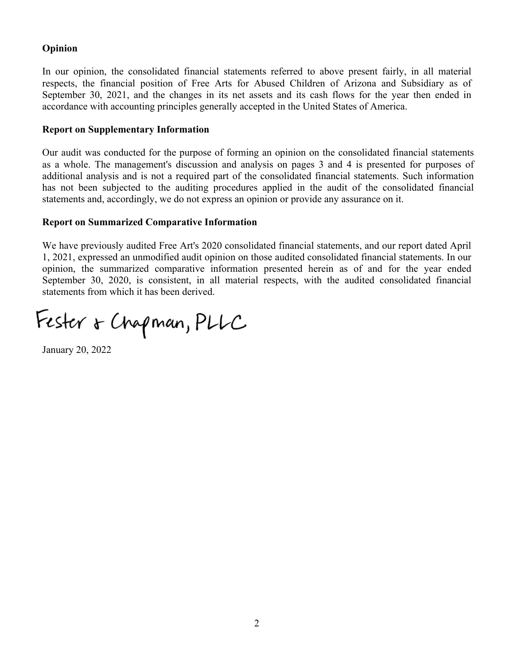## **Opinion**

In our opinion, the consolidated financial statements referred to above present fairly, in all material respects, the financial position of Free Arts for Abused Children of Arizona and Subsidiary as of September 30, 2021, and the changes in its net assets and its cash flows for the year then ended in accordance with accounting principles generally accepted in the United States of America.

### **Report on Supplementary Information**

Our audit was conducted for the purpose of forming an opinion on the consolidated financial statements as a whole. The management's discussion and analysis on pages 3 and 4 is presented for purposes of additional analysis and is not a required part of the consolidated financial statements. Such information has not been subjected to the auditing procedures applied in the audit of the consolidated financial statements and, accordingly, we do not express an opinion or provide any assurance on it.

### **Report on Summarized Comparative Information**

We have previously audited Free Art's 2020 consolidated financial statements, and our report dated April 1, 2021, expressed an unmodified audit opinion on those audited consolidated financial statements. In our opinion, the summarized comparative information presented herein as of and for the year ended September 30, 2020, is consistent, in all material respects, with the audited consolidated financial statements from which it has been derived.

Fester & Chapman, PLLC

January 20, 2022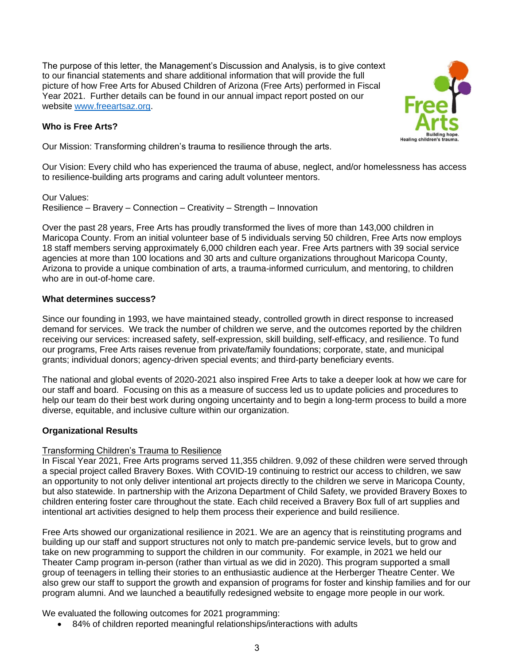The purpose of this letter, the Management's Discussion and Analysis, is to give context to our financial statements and share additional information that will provide the full picture of how Free Arts for Abused Children of Arizona (Free Arts) performed in Fiscal Year 2021. Further details can be found in our annual impact report posted on our website [www.freeartsaz.org.](http://www.freeartsaz.org/)

### **Who is Free Arts?**

Our Mission: Transforming children's trauma to resilience through the arts.

Our Vision: Every child who has experienced the trauma of abuse, neglect, and/or homelessness has access to resilience-building arts programs and caring adult volunteer mentors.

Our Values: Resilience – Bravery – Connection – Creativity – Strength – Innovation

Over the past 28 years, Free Arts has proudly transformed the lives of more than 143,000 children in Maricopa County. From an initial volunteer base of 5 individuals serving 50 children, Free Arts now employs 18 staff members serving approximately 6,000 children each year. Free Arts partners with 39 social service agencies at more than 100 locations and 30 arts and culture organizations throughout Maricopa County, Arizona to provide a unique combination of arts, a trauma-informed curriculum, and mentoring, to children who are in out-of-home care.

### **What determines success?**

Since our founding in 1993, we have maintained steady, controlled growth in direct response to increased demand for services. We track the number of children we serve, and the outcomes reported by the children receiving our services: increased safety, self-expression, skill building, self-efficacy, and resilience. To fund our programs, Free Arts raises revenue from private/family foundations; corporate, state, and municipal grants; individual donors; agency-driven special events; and third-party beneficiary events.

The national and global events of 2020-2021 also inspired Free Arts to take a deeper look at how we care for our staff and board. Focusing on this as a measure of success led us to update policies and procedures to help our team do their best work during ongoing uncertainty and to begin a long-term process to build a more diverse, equitable, and inclusive culture within our organization.

## **Organizational Results**

### Transforming Children's Trauma to Resilience

In Fiscal Year 2021, Free Arts programs served 11,355 children. 9,092 of these children were served through a special project called Bravery Boxes. With COVID-19 continuing to restrict our access to children, we saw an opportunity to not only deliver intentional art projects directly to the children we serve in Maricopa County, but also statewide. In partnership with the Arizona Department of Child Safety, we provided Bravery Boxes to children entering foster care throughout the state. Each child received a Bravery Box full of art supplies and intentional art activities designed to help them process their experience and build resilience.

Free Arts showed our organizational resilience in 2021. We are an agency that is reinstituting programs and building up our staff and support structures not only to match pre-pandemic service levels, but to grow and take on new programming to support the children in our community. For example, in 2021 we held our Theater Camp program in-person (rather than virtual as we did in 2020). This program supported a small group of teenagers in telling their stories to an enthusiastic audience at the Herberger Theatre Center. We also grew our staff to support the growth and expansion of programs for foster and kinship families and for our program alumni. And we launched a beautifully redesigned website to engage more people in our work.

We evaluated the following outcomes for 2021 programming:

• 84% of children reported meaningful relationships/interactions with adults

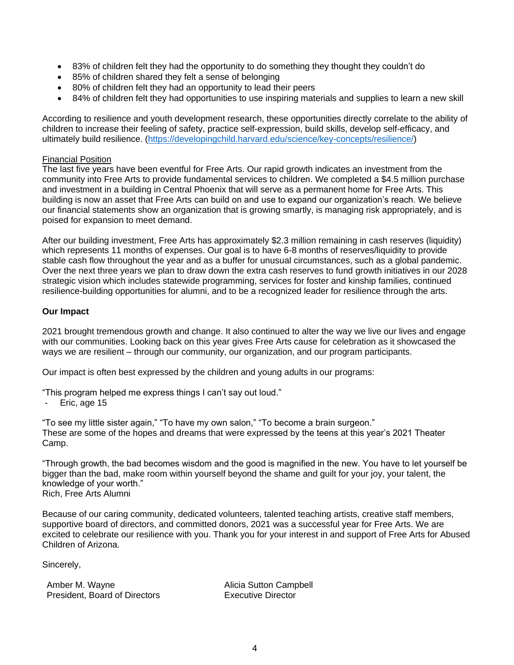- 83% of children felt they had the opportunity to do something they thought they couldn't do
- 85% of children shared they felt a sense of belonging
- 80% of children felt they had an opportunity to lead their peers
- 84% of children felt they had opportunities to use inspiring materials and supplies to learn a new skill

According to resilience and youth development research, these opportunities directly correlate to the ability of children to increase their feeling of safety, practice self-expression, build skills, develop self-efficacy, and ultimately build resilience. [\(https://developingchild.harvard.edu/science/key-concepts/resilience/\)](https://developingchild.harvard.edu/science/key-concepts/resilience/)

#### Financial Position

The last five years have been eventful for Free Arts. Our rapid growth indicates an investment from the community into Free Arts to provide fundamental services to children. We completed a \$4.5 million purchase and investment in a building in Central Phoenix that will serve as a permanent home for Free Arts. This building is now an asset that Free Arts can build on and use to expand our organization's reach. We believe our financial statements show an organization that is growing smartly, is managing risk appropriately, and is poised for expansion to meet demand.

After our building investment, Free Arts has approximately \$2.3 million remaining in cash reserves (liquidity) which represents 11 months of expenses. Our goal is to have 6-8 months of reserves/liquidity to provide stable cash flow throughout the year and as a buffer for unusual circumstances, such as a global pandemic. Over the next three years we plan to draw down the extra cash reserves to fund growth initiatives in our 2028 strategic vision which includes statewide programming, services for foster and kinship families, continued resilience-building opportunities for alumni, and to be a recognized leader for resilience through the arts.

#### **Our Impact**

2021 brought tremendous growth and change. It also continued to alter the way we live our lives and engage with our communities. Looking back on this year gives Free Arts cause for celebration as it showcased the ways we are resilient – through our community, our organization, and our program participants.

Our impact is often best expressed by the children and young adults in our programs:

"This program helped me express things I can't say out loud."

- Eric, age 15

"To see my little sister again," "To have my own salon," "To become a brain surgeon." These are some of the hopes and dreams that were expressed by the teens at this year's 2021 Theater Camp.

"Through growth, the bad becomes wisdom and the good is magnified in the new. You have to let yourself be bigger than the bad, make room within yourself beyond the shame and guilt for your joy, your talent, the knowledge of your worth." Rich, Free Arts Alumni

Because of our caring community, dedicated volunteers, talented teaching artists, creative staff members, supportive board of directors, and committed donors, 2021 was a successful year for Free Arts. We are excited to celebrate our resilience with you. Thank you for your interest in and support of Free Arts for Abused Children of Arizona.

Sincerely,

Amber M. Wayne **Alicia Sutton Campbell** President, Board of Directors Executive Director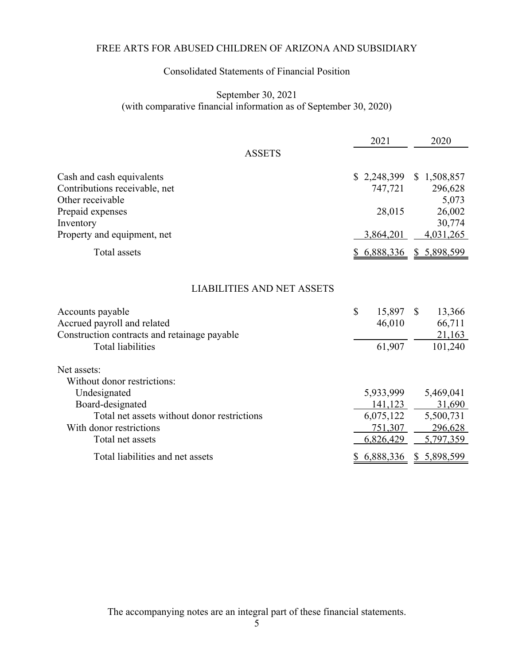## Consolidated Statements of Financial Position

### September 30, 2021 (with comparative financial information as of September 30, 2020)

|                                                                                                                                                                              | 2021                                                      | 2020                                                     |
|------------------------------------------------------------------------------------------------------------------------------------------------------------------------------|-----------------------------------------------------------|----------------------------------------------------------|
| <b>ASSETS</b>                                                                                                                                                                |                                                           |                                                          |
| Cash and cash equivalents<br>Contributions receivable, net<br>Other receivable                                                                                               | \$2,248,399<br>747,721                                    | 1,508,857<br><sup>S</sup><br>296,628<br>5,073            |
| Prepaid expenses<br>Inventory                                                                                                                                                | 28,015                                                    | 26,002<br>30,774                                         |
| Property and equipment, net                                                                                                                                                  | 3,864,201                                                 | 4,031,265                                                |
| <b>Total assets</b>                                                                                                                                                          | \$6,888,336                                               | <u>\$5,898,599</u>                                       |
| <b>LIABILITIES AND NET ASSETS</b><br>Accounts payable<br>Accrued payroll and related<br>Construction contracts and retainage payable<br><b>Total liabilities</b>             | $\mathcal{S}$<br>15,897<br>46,010<br>61,907               | $\mathbb{S}$<br>13,366<br>66,711<br>21,163<br>101,240    |
| Net assets:<br>Without donor restrictions:<br>Undesignated<br>Board-designated<br>Total net assets without donor restrictions<br>With donor restrictions<br>Total net assets | 5,933,999<br>141,123<br>6,075,122<br>751,307<br>6,826,429 | 5,469,041<br>31,690<br>5,500,731<br>296,628<br>5,797,359 |
| Total liabilities and net assets                                                                                                                                             | 6,888,336<br>у                                            | \$5,898,599                                              |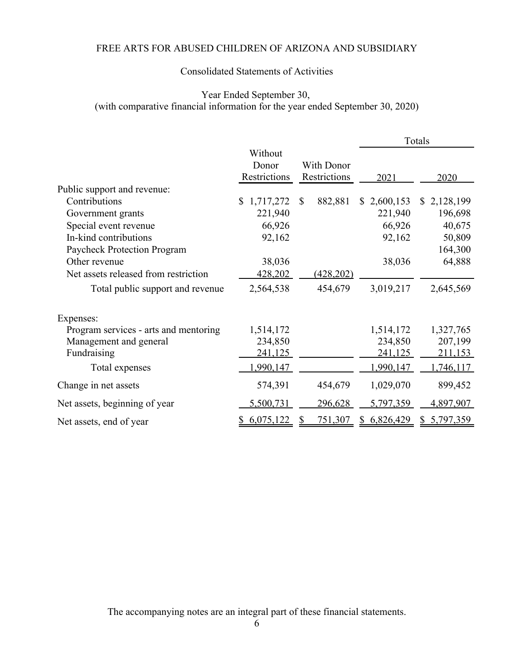## Consolidated Statements of Activities

## Year Ended September 30, (with comparative financial information for the year ended September 30, 2020)

|                                       |                                  |                            |                 | Totals                    |
|---------------------------------------|----------------------------------|----------------------------|-----------------|---------------------------|
|                                       | Without<br>Donor<br>Restrictions | With Donor<br>Restrictions | 2021            | 2020                      |
| Public support and revenue:           |                                  |                            |                 |                           |
| Contributions                         | 1,717,272<br>$\mathbb{S}^-$      | 882,881<br>$\mathbb{S}$    | \$2,600,153     | 2,128,199<br>$\mathbb{S}$ |
| Government grants                     | 221,940                          |                            | 221,940         | 196,698                   |
| Special event revenue                 | 66,926                           |                            | 66,926          | 40,675                    |
| In-kind contributions                 | 92,162                           |                            | 92,162          | 50,809                    |
| <b>Paycheck Protection Program</b>    |                                  |                            |                 | 164,300                   |
| Other revenue                         | 38,036                           |                            | 38,036          | 64,888                    |
| Net assets released from restriction  | 428,202                          | (428, 202)                 |                 |                           |
| Total public support and revenue      | 2,564,538                        | 454,679                    | 3,019,217       | 2,645,569                 |
| Expenses:                             |                                  |                            |                 |                           |
| Program services - arts and mentoring | 1,514,172                        |                            | 1,514,172       | 1,327,765                 |
| Management and general                | 234,850                          |                            | 234,850         | 207,199                   |
| Fundraising                           | 241,125                          |                            | 241,125         | 211,153                   |
| Total expenses                        | 1,990,147                        |                            | 1,990,147       | 1,746,117                 |
| Change in net assets                  | 574,391                          | 454,679                    | 1,029,070       | 899,452                   |
| Net assets, beginning of year         | 5,500,731                        | 296,628                    | 5,797,359       | 4,897,907                 |
| Net assets, end of year               | 6,075,122                        | 751,307                    | 6,826,429<br>\$ | 5,797,359<br>\$           |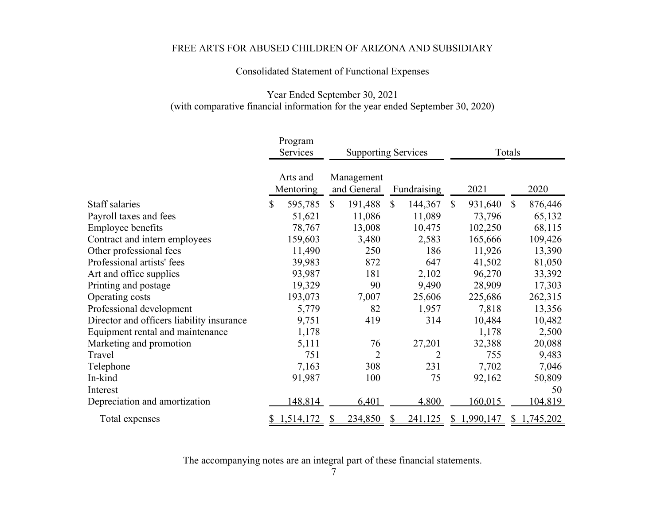Consolidated Statement of Functional Expenses

### Year Ended September 30, 2021 (with comparative financial information for the year ended September 30, 2020)

|                                           | Program               |               |                            |              |                |               |              |           |  |
|-------------------------------------------|-----------------------|---------------|----------------------------|--------------|----------------|---------------|--------------|-----------|--|
|                                           | Services              |               | <b>Supporting Services</b> |              |                | Totals        |              |           |  |
|                                           | Arts and<br>Mentoring |               | Management<br>and General  |              | Fundraising    | 2021          |              | 2020      |  |
| Staff salaries                            | \$<br>595,785         | <sup>\$</sup> | 191,488                    | $\mathbb{S}$ | 144,367        | \$<br>931,640 | $\mathbb{S}$ | 876,446   |  |
| Payroll taxes and fees                    | 51,621                |               | 11,086                     |              | 11,089         | 73,796        |              | 65,132    |  |
| Employee benefits                         | 78,767                |               | 13,008                     |              | 10,475         | 102,250       |              | 68,115    |  |
| Contract and intern employees             | 159,603               |               | 3,480                      |              | 2,583          | 165,666       |              | 109,426   |  |
| Other professional fees                   | 11,490                |               | 250                        |              | 186            | 11,926        |              | 13,390    |  |
| Professional artists' fees                | 39,983                |               | 872                        |              | 647            | 41,502        |              | 81,050    |  |
| Art and office supplies                   | 93,987                |               | 181                        |              | 2,102          | 96,270        |              | 33,392    |  |
| Printing and postage                      | 19,329                |               | 90                         |              | 9,490          | 28,909        |              | 17,303    |  |
| Operating costs                           | 193,073               |               | 7,007                      |              | 25,606         | 225,686       |              | 262,315   |  |
| Professional development                  | 5,779                 |               | 82                         |              | 1,957          | 7,818         |              | 13,356    |  |
| Director and officers liability insurance | 9,751                 |               | 419                        |              | 314            | 10,484        |              | 10,482    |  |
| Equipment rental and maintenance          | 1,178                 |               |                            |              |                | 1,178         |              | 2,500     |  |
| Marketing and promotion                   | 5,111                 |               | 76                         |              | 27,201         | 32,388        |              | 20,088    |  |
| Travel                                    | 751                   |               | $\overline{2}$             |              | $\overline{2}$ | 755           |              | 9,483     |  |
| Telephone                                 | 7,163                 |               | 308                        |              | 231            | 7,702         |              | 7,046     |  |
| In-kind                                   | 91,987                |               | 100                        |              | 75             | 92,162        |              | 50,809    |  |
| Interest                                  |                       |               |                            |              |                |               |              | 50        |  |
| Depreciation and amortization             | 148,814               |               | 6,401                      |              | 4,800          | 160,015       |              | 104,819   |  |
| Total expenses                            | 1,514,172             | У             | 234,850                    |              | 241,125        | \$1,990,147   | \$           | 1,745,202 |  |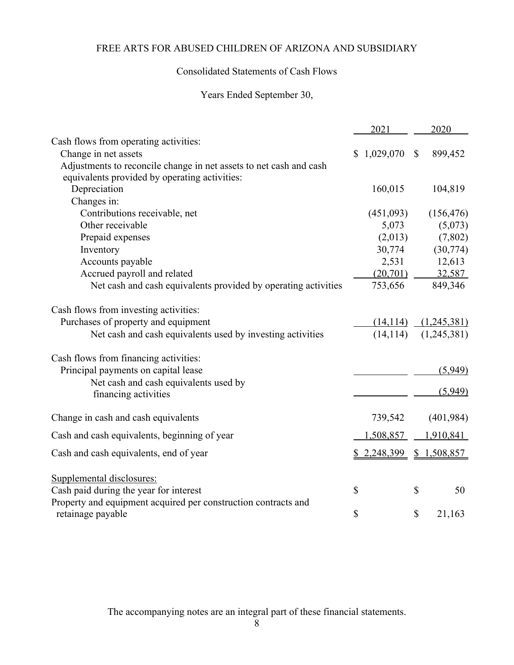## Consolidated Statements of Cash Flows

# Years Ended September 30,

|                                                                    | 2021        |              | 2020        |
|--------------------------------------------------------------------|-------------|--------------|-------------|
| Cash flows from operating activities:                              |             |              |             |
| Change in net assets                                               | \$1,029,070 | $\mathbb{S}$ | 899,452     |
| Adjustments to reconcile change in net assets to net cash and cash |             |              |             |
| equivalents provided by operating activities:                      |             |              |             |
| Depreciation                                                       | 160,015     |              | 104,819     |
| Changes in:                                                        |             |              |             |
| Contributions receivable, net                                      | (451,093)   |              | (156, 476)  |
| Other receivable                                                   | 5,073       |              | (5,073)     |
| Prepaid expenses                                                   | (2,013)     |              | (7,802)     |
| Inventory                                                          | 30,774      |              | (30, 774)   |
| Accounts payable                                                   | 2,531       |              | 12,613      |
| Accrued payroll and related                                        | (20, 701)   |              | 32,587      |
| Net cash and cash equivalents provided by operating activities     | 753,656     |              | 849,346     |
| Cash flows from investing activities:                              |             |              |             |
| Purchases of property and equipment                                | (14, 114)   |              | (1,245,381) |
| Net cash and cash equivalents used by investing activities         | (14, 114)   |              | (1,245,381) |
| Cash flows from financing activities:                              |             |              |             |
| Principal payments on capital lease                                |             |              | (5,949)     |
| Net cash and cash equivalents used by                              |             |              |             |
| financing activities                                               |             |              | (5,949)     |
| Change in cash and cash equivalents                                | 739,542     |              | (401, 984)  |
| Cash and cash equivalents, beginning of year                       | 1,508,857   |              | 1,910,841   |
| Cash and cash equivalents, end of year                             | \$2,248,399 |              | \$1,508,857 |
| Supplemental disclosures:                                          |             |              |             |
| Cash paid during the year for interest                             | \$          | \$           | 50          |
| Property and equipment acquired per construction contracts and     |             |              |             |
| retainage payable                                                  | \$          | \$           | 21,163      |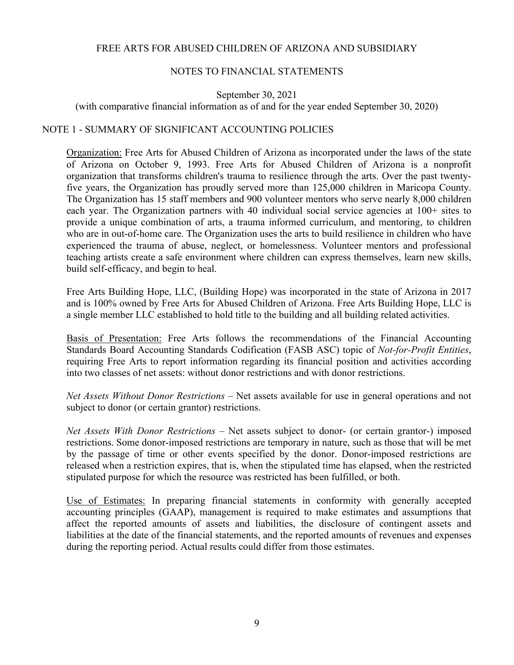### NOTES TO FINANCIAL STATEMENTS

September 30, 2021

(with comparative financial information as of and for the year ended September 30, 2020)

### NOTE 1 - SUMMARY OF SIGNIFICANT ACCOUNTING POLICIES

Organization: Free Arts for Abused Children of Arizona as incorporated under the laws of the state of Arizona on October 9, 1993. Free Arts for Abused Children of Arizona is a nonprofit organization that transforms children's trauma to resilience through the arts. Over the past twentyfive years, the Organization has proudly served more than 125,000 children in Maricopa County. The Organization has 15 staff members and 900 volunteer mentors who serve nearly 8,000 children each year. The Organization partners with 40 individual social service agencies at 100+ sites to provide a unique combination of arts, a trauma informed curriculum, and mentoring, to children who are in out-of-home care. The Organization uses the arts to build resilience in children who have experienced the trauma of abuse, neglect, or homelessness. Volunteer mentors and professional teaching artists create a safe environment where children can express themselves, learn new skills, build self-efficacy, and begin to heal.

Free Arts Building Hope, LLC, (Building Hope) was incorporated in the state of Arizona in 2017 and is 100% owned by Free Arts for Abused Children of Arizona. Free Arts Building Hope, LLC is a single member LLC established to hold title to the building and all building related activities.

Basis of Presentation: Free Arts follows the recommendations of the Financial Accounting Standards Board Accounting Standards Codification (FASB ASC) topic of *Not-for-Profit Entities*, requiring Free Arts to report information regarding its financial position and activities according into two classes of net assets: without donor restrictions and with donor restrictions.

*Net Assets Without Donor Restrictions* – Net assets available for use in general operations and not subject to donor (or certain grantor) restrictions.

*Net Assets With Donor Restrictions* – Net assets subject to donor- (or certain grantor-) imposed restrictions. Some donor-imposed restrictions are temporary in nature, such as those that will be met by the passage of time or other events specified by the donor. Donor-imposed restrictions are released when a restriction expires, that is, when the stipulated time has elapsed, when the restricted stipulated purpose for which the resource was restricted has been fulfilled, or both.

Use of Estimates: In preparing financial statements in conformity with generally accepted accounting principles (GAAP), management is required to make estimates and assumptions that affect the reported amounts of assets and liabilities, the disclosure of contingent assets and liabilities at the date of the financial statements, and the reported amounts of revenues and expenses during the reporting period. Actual results could differ from those estimates.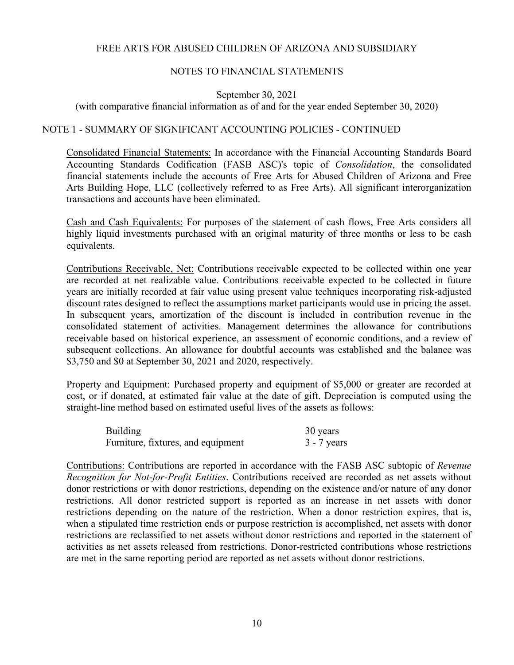### NOTES TO FINANCIAL STATEMENTS

September 30, 2021

(with comparative financial information as of and for the year ended September 30, 2020)

### NOTE 1 - SUMMARY OF SIGNIFICANT ACCOUNTING POLICIES - CONTINUED

Consolidated Financial Statements: In accordance with the Financial Accounting Standards Board Accounting Standards Codification (FASB ASC)'s topic of *Consolidation*, the consolidated financial statements include the accounts of Free Arts for Abused Children of Arizona and Free Arts Building Hope, LLC (collectively referred to as Free Arts). All significant interorganization transactions and accounts have been eliminated.

Cash and Cash Equivalents: For purposes of the statement of cash flows, Free Arts considers all highly liquid investments purchased with an original maturity of three months or less to be cash equivalents.

Contributions Receivable, Net: Contributions receivable expected to be collected within one year are recorded at net realizable value. Contributions receivable expected to be collected in future years are initially recorded at fair value using present value techniques incorporating risk-adjusted discount rates designed to reflect the assumptions market participants would use in pricing the asset. In subsequent years, amortization of the discount is included in contribution revenue in the consolidated statement of activities. Management determines the allowance for contributions receivable based on historical experience, an assessment of economic conditions, and a review of subsequent collections. An allowance for doubtful accounts was established and the balance was \$3,750 and \$0 at September 30, 2021 and 2020, respectively.

Property and Equipment: Purchased property and equipment of \$5,000 or greater are recorded at cost, or if donated, at estimated fair value at the date of gift. Depreciation is computed using the straight-line method based on estimated useful lives of the assets as follows:

| <b>Building</b>                    | 30 years      |
|------------------------------------|---------------|
| Furniture, fixtures, and equipment | $3 - 7$ years |

Contributions: Contributions are reported in accordance with the FASB ASC subtopic of *Revenue Recognition for Not-for-Profit Entities*. Contributions received are recorded as net assets without donor restrictions or with donor restrictions, depending on the existence and/or nature of any donor restrictions. All donor restricted support is reported as an increase in net assets with donor restrictions depending on the nature of the restriction. When a donor restriction expires, that is, when a stipulated time restriction ends or purpose restriction is accomplished, net assets with donor restrictions are reclassified to net assets without donor restrictions and reported in the statement of activities as net assets released from restrictions. Donor-restricted contributions whose restrictions are met in the same reporting period are reported as net assets without donor restrictions.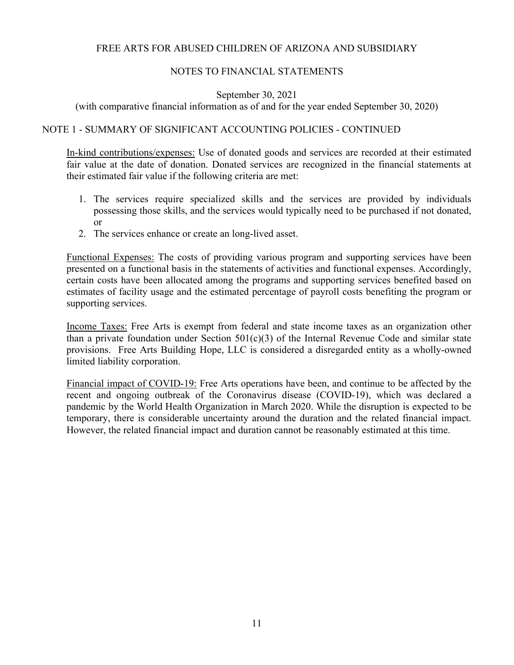### NOTES TO FINANCIAL STATEMENTS

September 30, 2021

(with comparative financial information as of and for the year ended September 30, 2020)

### NOTE 1 - SUMMARY OF SIGNIFICANT ACCOUNTING POLICIES - CONTINUED

In-kind contributions/expenses: Use of donated goods and services are recorded at their estimated fair value at the date of donation. Donated services are recognized in the financial statements at their estimated fair value if the following criteria are met:

- 1. The services require specialized skills and the services are provided by individuals possessing those skills, and the services would typically need to be purchased if not donated, or
- 2. The services enhance or create an long-lived asset.

Functional Expenses: The costs of providing various program and supporting services have been presented on a functional basis in the statements of activities and functional expenses. Accordingly, certain costs have been allocated among the programs and supporting services benefited based on estimates of facility usage and the estimated percentage of payroll costs benefiting the program or supporting services.

Income Taxes: Free Arts is exempt from federal and state income taxes as an organization other than a private foundation under Section  $501(c)(3)$  of the Internal Revenue Code and similar state provisions. Free Arts Building Hope, LLC is considered a disregarded entity as a wholly-owned limited liability corporation.

Financial impact of COVID-19: Free Arts operations have been, and continue to be affected by the recent and ongoing outbreak of the Coronavirus disease (COVID-19), which was declared a pandemic by the World Health Organization in March 2020. While the disruption is expected to be temporary, there is considerable uncertainty around the duration and the related financial impact. However, the related financial impact and duration cannot be reasonably estimated at this time.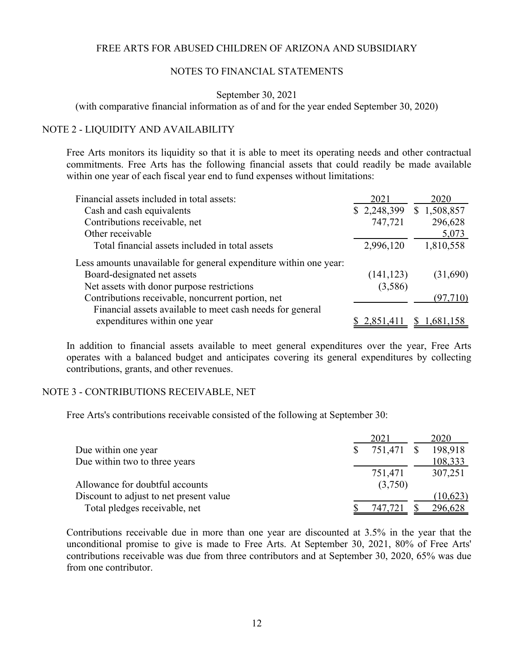#### NOTES TO FINANCIAL STATEMENTS

#### September 30, 2021

(with comparative financial information as of and for the year ended September 30, 2020)

#### NOTE 2 - LIQUIDITY AND AVAILABILITY

Free Arts monitors its liquidity so that it is able to meet its operating needs and other contractual commitments. Free Arts has the following financial assets that could readily be made available within one year of each fiscal year end to fund expenses without limitations:

| Financial assets included in total assets:                        | 2021        | 2020        |
|-------------------------------------------------------------------|-------------|-------------|
| Cash and cash equivalents                                         | \$2,248,399 | \$1,508,857 |
| Contributions receivable, net                                     | 747,721     | 296,628     |
| Other receivable                                                  |             | 5,073       |
| Total financial assets included in total assets                   | 2,996,120   | 1,810,558   |
| Less amounts unavailable for general expenditure within one year: |             |             |
| Board-designated net assets                                       | (141, 123)  | (31,690)    |
| Net assets with donor purpose restrictions                        | (3,586)     |             |
| Contributions receivable, noncurrent portion, net                 |             | (97, 710)   |
| Financial assets available to meet cash needs for general         |             |             |
| expenditures within one year                                      | 2,851,411   | 1,681,158   |

In addition to financial assets available to meet general expenditures over the year, Free Arts operates with a balanced budget and anticipates covering its general expenditures by collecting contributions, grants, and other revenues.

#### NOTE 3 - CONTRIBUTIONS RECEIVABLE, NET

Free Arts's contributions receivable consisted of the following at September 30:

|                                         | 2021    | 2020                  |
|-----------------------------------------|---------|-----------------------|
| Due within one year                     |         | 751,471 \$<br>198,918 |
| Due within two to three years           |         | 108,333               |
|                                         | 751,471 | 307,251               |
| Allowance for doubtful accounts         |         | (3,750)               |
| Discount to adjust to net present value |         | (10,623)              |
| Total pledges receivable, net           | 747,721 | 296,628               |

Contributions receivable due in more than one year are discounted at 3.5% in the year that the unconditional promise to give is made to Free Arts. At September 30, 2021, 80% of Free Arts' contributions receivable was due from three contributors and at September 30, 2020, 65% was due from one contributor.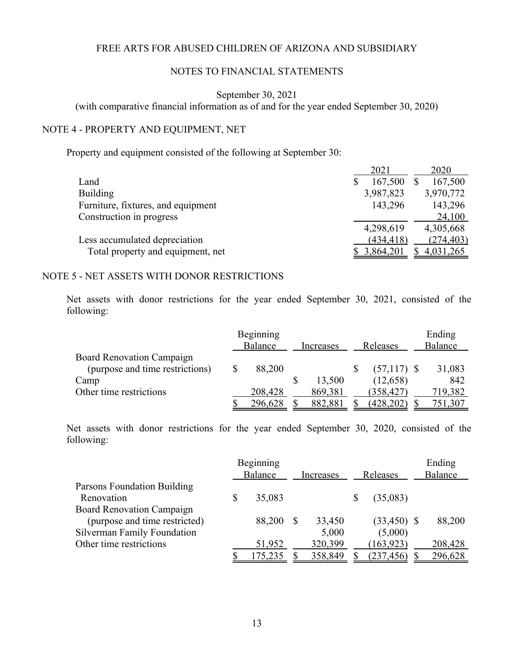### NOTES TO FINANCIAL STATEMENTS

September 30, 2021

(with comparative financial information as of and for the year ended September 30, 2020)

### NOTE 4 - PROPERTY AND EQUIPMENT, NET

Property and equipment consisted of the following at September 30:

|                                    | 2021       | 2020       |
|------------------------------------|------------|------------|
| Land                               | 167,500    | 167,500    |
| <b>Building</b>                    | 3,987,823  | 3,970,772  |
| Furniture, fixtures, and equipment | 143,296    | 143,296    |
| Construction in progress           |            | 24,100     |
|                                    | 4,298,619  | 4,305,668  |
| Less accumulated depreciation      | (434, 418) | (274, 403) |
| Total property and equipment, net  | 3,864,201  | 4,031,265  |
|                                    |            |            |

#### NOTE 5 - NET ASSETS WITH DONOR RESTRICTIONS

Net assets with donor restrictions for the year ended September 30, 2021, consisted of the following:

|                                  | Beginning<br>Balance | Increases | Releases      | Ending<br>Balance |
|----------------------------------|----------------------|-----------|---------------|-------------------|
| <b>Board Renovation Campaign</b> |                      |           |               |                   |
| (purpose and time restrictions)  | \$<br>88,200         |           | $(57,117)$ \$ | 31,083            |
| Camp                             |                      | 13,500    | (12,658)      | 842               |
| Other time restrictions          | 208,428              | 869,381   | (358, 427)    | 719,382           |
|                                  | 296,628              | 882,881   | (428, 202)    | 751,307           |

Net assets with donor restrictions for the year ended September 30, 2020, consisted of the following:

|                                  | Beginning    |           |               | Ending  |
|----------------------------------|--------------|-----------|---------------|---------|
|                                  | Balance      | Increases | Releases      | Balance |
| Parsons Foundation Building      |              |           |               |         |
| Renovation                       | \$<br>35,083 |           | (35,083)      |         |
| <b>Board Renovation Campaign</b> |              |           |               |         |
| (purpose and time restricted)    | 88,200       | 33,450    | $(33,450)$ \$ | 88,200  |
| Silverman Family Foundation      |              | 5,000     | (5,000)       |         |
| Other time restrictions          | 51,952       | 320,399   | (163, 923)    | 208,428 |
|                                  | 175,235      | 358,849   | (237, 456)    | 296,628 |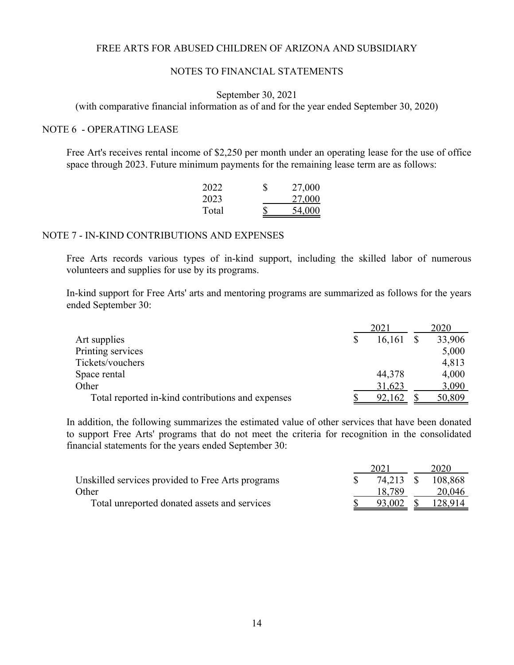#### NOTES TO FINANCIAL STATEMENTS

#### September 30, 2021

(with comparative financial information as of and for the year ended September 30, 2020)

#### NOTE 6 - OPERATING LEASE

Free Art's receives rental income of \$2,250 per month under an operating lease for the use of office space through 2023. Future minimum payments for the remaining lease term are as follows:

| 2022  | S | 27,000 |
|-------|---|--------|
| 2023  |   | 27,000 |
| Total |   | 54,000 |

#### NOTE 7 - IN-KIND CONTRIBUTIONS AND EXPENSES

Free Arts records various types of in-kind support, including the skilled labor of numerous volunteers and supplies for use by its programs.

In-kind support for Free Arts' arts and mentoring programs are summarized as follows for the years ended September 30:

|                                                   | 2021 |        | 2020 |        |
|---------------------------------------------------|------|--------|------|--------|
| Art supplies                                      |      | 16,161 |      | 33,906 |
| Printing services                                 |      |        |      | 5,000  |
| Tickets/vouchers                                  |      |        |      | 4,813  |
| Space rental                                      |      | 44,378 |      | 4,000  |
| Other                                             |      | 31,623 |      | 3,090  |
| Total reported in-kind contributions and expenses |      | 92,162 |      | 50,809 |

In addition, the following summarizes the estimated value of other services that have been donated to support Free Arts' programs that do not meet the criteria for recognition in the consolidated financial statements for the years ended September 30:

|                                                   | 2021      |  | 2020    |  |
|---------------------------------------------------|-----------|--|---------|--|
| Unskilled services provided to Free Arts programs | 74.213 \$ |  | 108,868 |  |
| Other                                             | 18.789    |  | 20,046  |  |
| Total unreported donated assets and services      | 93,002    |  | 128,914 |  |